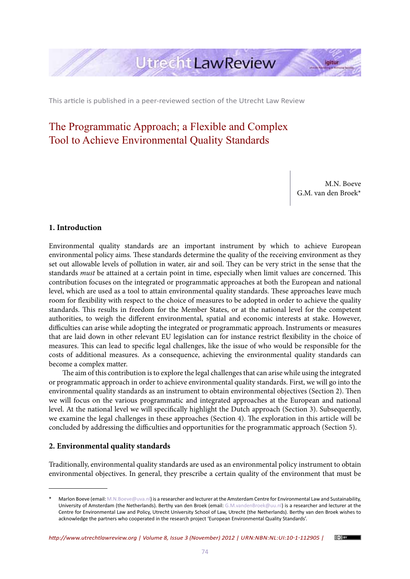

This article is published in a peer-reviewed section of the Utrecht Law Review

# The Programmatic Approach; a Flexible and Complex Tool to Achieve Environmental Quality Standards

M.N. Boeve G.M. van den Broek\*

## **1. Introduction**

Environmental quality standards are an important instrument by which to achieve European environmental policy aims. These standards determine the quality of the receiving environment as they set out allowable levels of pollution in water, air and soil. They can be very strict in the sense that the standards *must* be attained at a certain point in time, especially when limit values are concerned. This contribution focuses on the integrated or programmatic approaches at both the European and national level, which are used as a tool to attain environmental quality standards. These approaches leave much room for flexibility with respect to the choice of measures to be adopted in order to achieve the quality standards. This results in freedom for the Member States, or at the national level for the competent authorities, to weigh the different environmental, spatial and economic interests at stake. However, difficulties can arise while adopting the integrated or programmatic approach. Instruments or measures that are laid down in other relevant EU legislation can for instance restrict flexibility in the choice of measures. This can lead to specific legal challenges, like the issue of who would be responsible for the costs of additional measures. As a consequence, achieving the environmental quality standards can become a complex matter.

The aim of this contribution is to explore the legal challenges that can arise while using the integrated or programmatic approach in order to achieve environmental quality standards. First, we will go into the environmental quality standards as an instrument to obtain environmental objectives (Section 2). Then we will focus on the various programmatic and integrated approaches at the European and national level. At the national level we will specifically highlight the Dutch approach (Section 3). Subsequently, we examine the legal challenges in these approaches (Section 4). The exploration in this article will be concluded by addressing the difficulties and opportunities for the programmatic approach (Section 5).

# **2. Environmental quality standards**

Traditionally, environmental quality standards are used as an environmental policy instrument to obtain environmental objectives. In general, they prescribe a certain quality of the environment that must be



Marlon Boeve (email: M.N.Boeve@uva.nl) is a researcher and lecturer at the Amsterdam Centre for Environmental Law and Sustainability, University of Amsterdam (the Netherlands). Berthy van den Broek (email: G.M.vandenBroek@uu.nl) is a researcher and lecturer at the Centre for Environmental Law and Policy, Utrecht University School of Law, Utrecht (the Netherlands). Berthy van den Broek wishes to acknowledge the partners who cooperated in the research project 'European Environmental Quality Standards'.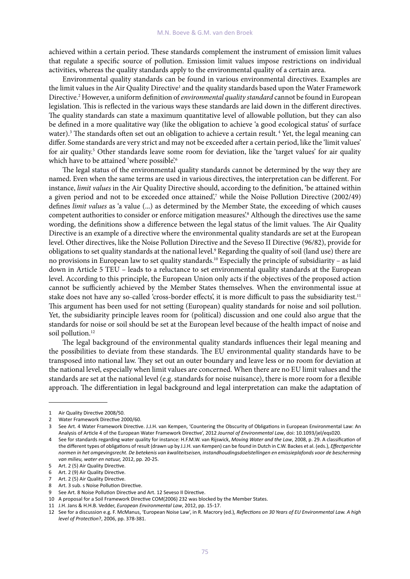achieved within a certain period. These standards complement the instrument of emission limit values that regulate a specific source of pollution. Emission limit values impose restrictions on individual activities, whereas the quality standards apply to the environmental quality of a certain area.

Environmental quality standards can be found in various environmental directives. Examples are the limit values in the Air Quality Directive<sup>1</sup> and the quality standards based upon the Water Framework Directive.2 However, a uniform definition of *environmental quality standard* cannot be found in European legislation. This is reflected in the various ways these standards are laid down in the different directives. The quality standards can state a maximum quantitative level of allowable pollution, but they can also be defined in a more qualitative way (like the obligation to achieve 'a good ecological status' of surface water).<sup>3</sup> The standards often set out an obligation to achieve a certain result.<sup>4</sup> Yet, the legal meaning can differ. Some standards are very strict and may not be exceeded after a certain period, like the 'limit values' for air quality.<sup>5</sup> Other standards leave some room for deviation, like the 'target values' for air quality which have to be attained 'where possible'.<sup>6</sup>

The legal status of the environmental quality standards cannot be determined by the way they are named. Even when the same terms are used in various directives, the interpretation can be different. For instance, *limit values* in the Air Quality Directive should, according to the definition, 'be attained within a given period and not to be exceeded once attained',<sup>7</sup> while the Noise Pollution Directive (2002/49) defines *limit values* as 'a value (...) as determined by the Member State, the exceeding of which causes competent authorities to consider or enforce mitigation measures'.8 Although the directives use the same wording, the definitions show a difference between the legal status of the limit values. The Air Quality Directive is an example of a directive where the environmental quality standards are set at the European level. Other directives, like the Noise Pollution Directive and the Seveso II Directive (96/82), provide for obligations to set quality standards at the national level.<sup>9</sup> Regarding the quality of soil (land use) there are no provisions in European law to set quality standards.10 Especially the principle of subsidiarity – as laid down in Article 5 TEU – leads to a reluctance to set environmental quality standards at the European level. According to this principle, the European Union only acts if the objectives of the proposed action cannot be sufficiently achieved by the Member States themselves. When the environmental issue at stake does not have any so-called 'cross-border effects', it is more difficult to pass the subsidiarity test.<sup>11</sup> This argument has been used for not setting (European) quality standards for noise and soil pollution. Yet, the subsidiarity principle leaves room for (political) discussion and one could also argue that the standards for noise or soil should be set at the European level because of the health impact of noise and soil pollution.<sup>12</sup>

The legal background of the environmental quality standards influences their legal meaning and the possibilities to deviate from these standards. The EU environmental quality standards have to be transposed into national law. They set out an outer boundary and leave less or no room for deviation at the national level, especially when limit values are concerned. When there are no EU limit values and the standards are set at the national level (e.g. standards for noise nuisance), there is more room for a flexible approach. The differentiation in legal background and legal interpretation can make the adaptation of

<sup>1</sup> Air Quality Directive 2008/50.

<sup>2</sup> Water Framework Directive 2000/60

<sup>3</sup> See Art. 4 Water Framework Directive. J.J.H. van Kempen, 'Countering the Obscurity of Obligations in European Environmental Law: An Analysis of Article 4 of the European Water Framework Directive', 2012 *Journal of Environmental Law*, doi: 10.1093/jel/eqs020.

<sup>4</sup> See for standards regarding water quality for instance: H.F.M.W. van Rijswick, *Moving Water and the Law*, 2008, p. 29. A classification of the different types of obligations of result (drawn up by J.J.H. van Kempen) can be found in Dutch in C.W. Backes et al. (eds.), *Effectgerichte normen in het omgevingsrecht. De betekenis van kwaliteitseisen, instandhoudingsdoelstellingen en emissieplafonds voor de bescherming van milieu, water en natuur,* 2012, pp. 20-25.

<sup>5</sup> Art. 2 (5) Air Quality Directive.

<sup>6</sup> Art. 2 (9) Air Quality Directive.

<sup>7</sup> Art. 2 (5) Air Quality Directive.

<sup>8</sup> Art. 3 sub. s Noise Pollution Directive.

<sup>9</sup> See Art. 8 Noise Pollution Directive and Art. 12 Seveso II Directive.

<sup>10</sup> A proposal for a Soil Framework Directive COM(2006) 232 was blocked by the Member States.

<sup>11</sup> J.H. Jans & H.H.B. Vedder, *European Environmental Law*, 2012, pp. 15-17.

<sup>12</sup> See for a discussion e.g. F. McManus, 'European Noise Law', in R. Macrory (ed.), *Reflections on 30 Years of EU Environmental Law. A high level of Protection*?, 2006, pp. 378-381.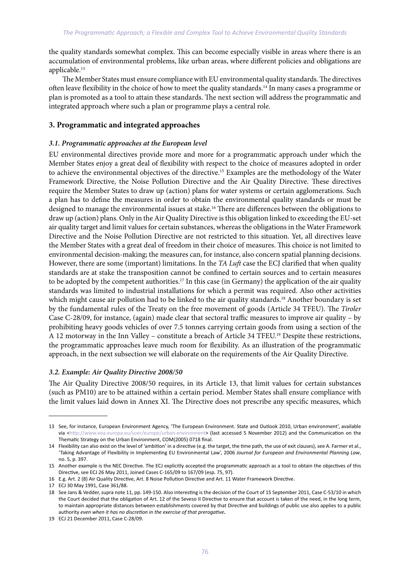the quality standards somewhat complex. This can become especially visible in areas where there is an accumulation of environmental problems, like urban areas, where different policies and obligations are applicable.<sup>13</sup>

The Member States must ensure compliance with EU environmental quality standards. The directives often leave flexibility in the choice of how to meet the quality standards.14 In many cases a programme or plan is promoted as a tool to attain these standards. The next section will address the programmatic and integrated approach where such a plan or programme plays a central role.

# **3. Programmatic and integrated approaches**

## *3.1. Programmatic approaches at the European level*

EU environmental directives provide more and more for a programmatic approach under which the Member States enjoy a great deal of flexibility with respect to the choice of measures adopted in order to achieve the environmental objectives of the directive.15 Examples are the methodology of the Water Framework Directive, the Noise Pollution Directive and the Air Quality Directive. These directives require the Member States to draw up (action) plans for water systems or certain agglomerations. Such a plan has to define the measures in order to obtain the environmental quality standards or must be designed to manage the environmental issues at stake.<sup>16</sup> There are differences between the obligations to draw up (action) plans. Only in the Air Quality Directive is this obligation linked to exceeding the EU-set air quality target and limit values for certain substances, whereas the obligations in the Water Framework Directive and the Noise Pollution Directive are not restricted to this situation. Yet, all directives leave the Member States with a great deal of freedom in their choice of measures. This choice is not limited to environmental decision-making; the measures can, for instance, also concern spatial planning decisions. However, there are some (important) limitations. In the *TA Luft* case the ECJ clarified that when quality standards are at stake the transposition cannot be confined to certain sources and to certain measures to be adopted by the competent authorities.<sup>17</sup> In this case (in Germany) the application of the air quality standards was limited to industrial installations for which a permit was required. Also other activities which might cause air pollution had to be linked to the air quality standards.<sup>18</sup> Another boundary is set by the fundamental rules of the Treaty on the free movement of goods (Article 34 TFEU). The *Tiroler*  Case C-28/09, for instance, (again) made clear that sectoral traffic measures to improve air quality – by prohibiting heavy goods vehicles of over 7.5 tonnes carrying certain goods from using a section of the A 12 motorway in the Inn Valley – constitute a breach of Article 34 TFEU.19 Despite these restrictions, the programmatic approaches leave much room for flexibility. As an illustration of the programmatic approach, in the next subsection we will elaborate on the requirements of the Air Quality Directive.

## *3.2. Example: Air Quality Directive 2008/50*

The Air Quality Directive 2008/50 requires, in its Article 13, that limit values for certain substances (such as PM10) are to be attained within a certain period. Member States shall ensure compliance with the limit values laid down in Annex XI. The Directive does not prescribe any specific measures, which

<sup>13</sup> See, for instance, European Environment Agency, 'The European Environment. State and Outlook 2010, Urban environment', available via <http://www.eea.europa.eu/soer/europe/urban-environment> (last accessed 5 November 2012) and the Communication on the Thematic Strategy on the Urban Environment, COM(2005) 0718 final.

<sup>14</sup> Flexibility can also exist on the level of 'ambition' in a directive (e.g. the target, the time path, the use of exit clauses), see A. Farmer et al., 'Taking Advantage of Flexibility in Implementing EU Environmental Law', 2006 *Journal for European and Environmental Planning Law*, no. 5, p. 397.

<sup>15</sup> Another example is the NEC Directive. The ECJ explicitly accepted the programmatic approach as a tool to obtain the objectives of this Directive, see ECJ 26 May 2011, Joined Cases C-165/09 to 167/09 (esp. 75, 97).

<sup>16</sup> E.g. Art. 2 (8) Air Quality Directive, Art. 8 Noise Pollution Directive and Art. 11 Water Framework Directive.

<sup>17</sup> ECJ 30 May 1991, Case 361/88.

<sup>18</sup> See Jans & Vedder, supra note 11, pp. 149-150. Also interesting is the decision of the Court of 15 September 2011, Case C-53/10 in which the Court decided that the obligation of Art. 12 of the Seveso II Directive to ensure that account is taken of the need, in the long term, to maintain appropriate distances between establishments covered by that Directive and buildings of public use also applies to a public authority *even when it has no discretion in the exercise of that prerogative***.**

<sup>19</sup> ECJ 21 December 2011, Case C-28/09.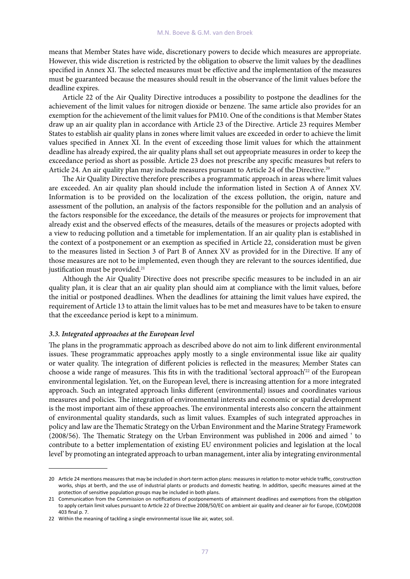means that Member States have wide, discretionary powers to decide which measures are appropriate. However, this wide discretion is restricted by the obligation to observe the limit values by the deadlines specified in Annex XI. The selected measures must be effective and the implementation of the measures must be guaranteed because the measures should result in the observance of the limit values before the deadline expires.

Article 22 of the Air Quality Directive introduces a possibility to postpone the deadlines for the achievement of the limit values for nitrogen dioxide or benzene. The same article also provides for an exemption for the achievement of the limit values for PM10. One of the conditions is that Member States draw up an air quality plan in accordance with Article 23 of the Directive. Article 23 requires Member States to establish air quality plans in zones where limit values are exceeded in order to achieve the limit values specified in Annex XI. In the event of exceeding those limit values for which the attainment deadline has already expired, the air quality plans shall set out appropriate measures in order to keep the exceedance period as short as possible. Article 23 does not prescribe any specific measures but refers to Article 24. An air quality plan may include measures pursuant to Article 24 of the Directive.<sup>20</sup>

The Air Quality Directive therefore prescribes a programmatic approach in areas where limit values are exceeded. An air quality plan should include the information listed in Section A of Annex XV. Information is to be provided on the localization of the excess pollution, the origin, nature and assessment of the pollution, an analysis of the factors responsible for the pollution and an analysis of the factors responsible for the exceedance, the details of the measures or projects for improvement that already exist and the observed effects of the measures, details of the measures or projects adopted with a view to reducing pollution and a timetable for implementation. If an air quality plan is established in the context of a postponement or an exemption as specified in Article 22, consideration must be given to the measures listed in Section 3 of Part B of Annex XV as provided for in the Directive. If any of those measures are not to be implemented, even though they are relevant to the sources identified, due justification must be provided.<sup>21</sup>

Although the Air Quality Directive does not prescribe specific measures to be included in an air quality plan, it is clear that an air quality plan should aim at compliance with the limit values, before the initial or postponed deadlines. When the deadlines for attaining the limit values have expired, the requirement of Article 13 to attain the limit values has to be met and measures have to be taken to ensure that the exceedance period is kept to a minimum.

### *3.3. Integrated approaches at the European level*

The plans in the programmatic approach as described above do not aim to link different environmental issues. These programmatic approaches apply mostly to a single environmental issue like air quality or water quality. The integration of different policies is reflected in the measures; Member States can choose a wide range of measures. This fits in with the traditional 'sectoral approach'<sup>22</sup> of the European environmental legislation. Yet, on the European level, there is increasing attention for a more integrated approach. Such an integrated approach links different (environmental) issues and coordinates various measures and policies. The integration of environmental interests and economic or spatial development is the most important aim of these approaches. The environmental interests also concern the attainment of environmental quality standards, such as limit values. Examples of such integrated approaches in policy and law are the Thematic Strategy on the Urban Environment and the Marine Strategy Framework (2008/56). The Thematic Strategy on the Urban Environment was published in 2006 and aimed ' to contribute to a better implementation of existing EU environment policies and legislation at the local level' by promoting an integrated approach to urban management, inter alia by integrating environmental

<sup>20</sup> Article 24 mentions measures that may be included in short-term action plans: measures in relation to motor vehicle traffic, construction works, ships at berth, and the use of industrial plants or products and domestic heating. In addition, specific measures aimed at the protection of sensitive population groups may be included in both plans.

<sup>21</sup> Communication from the Commission on notifications of postponements of attainment deadlines and exemptions from the obligation to apply certain limit values pursuant to Article 22 of Directive 2008/50/EC on ambient air quality and cleaner air for Europe, (COM)2008 403 final p. 7.

<sup>22</sup> Within the meaning of tackling a single environmental issue like air, water, soil.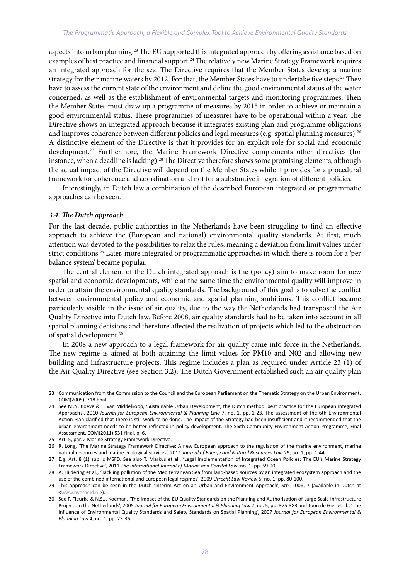aspects into urban planning.<sup>23</sup> The EU supported this integrated approach by offering assistance based on examples of best practice and financial support.<sup>24</sup> The relatively new Marine Strategy Framework requires an integrated approach for the sea. The Directive requires that the Member States develop a marine strategy for their marine waters by 2012. For that, the Member States have to undertake five steps.<sup>25</sup> They have to assess the current state of the environment and define the good environmental status of the water concerned, as well as the establishment of environmental targets and monitoring programmes. Then the Member States must draw up a programme of measures by 2015 in order to achieve or maintain a good environmental status. These programmes of measures have to be operational within a year. The Directive shows an integrated approach because it integrates existing plan and programme obligations and improves coherence between different policies and legal measures (e.g. spatial planning measures).<sup>26</sup> A distinctive element of the Directive is that it provides for an explicit role for social and economic development.<sup>27</sup> Furthermore, the Marine Framework Directive complements other directives (for instance, when a deadline is lacking).<sup>28</sup> The Directive therefore shows some promising elements, although the actual impact of the Directive will depend on the Member States while it provides for a procedural framework for coherence and coordination and not for a substantive integration of different policies.

Interestingly, in Dutch law a combination of the described European integrated or programmatic approaches can be seen.

#### *3.4. The Dutch approach*

For the last decade, public authorities in the Netherlands have been struggling to find an effective approach to achieve the (European and national) environmental quality standards. At first, much attention was devoted to the possibilities to relax the rules, meaning a deviation from limit values under strict conditions.<sup>29</sup> Later, more integrated or programmatic approaches in which there is room for a 'per balance system' became popular.

The central element of the Dutch integrated approach is the (policy) aim to make room for new spatial and economic developments, while at the same time the environmental quality will improve in order to attain the environmental quality standards. The background of this goal is to solve the conflict between environmental policy and economic and spatial planning ambitions. This conflict became particularly visible in the issue of air quality, due to the way the Netherlands had transposed the Air Quality Directive into Dutch law. Before 2008, air quality standards had to be taken into account in all spatial planning decisions and therefore affected the realization of projects which led to the obstruction of spatial development.30

In 2008 a new approach to a legal framework for air quality came into force in the Netherlands. The new regime is aimed at both attaining the limit values for PM10 and N02 and allowing new building and infrastructure projects. This regime includes a plan as required under Article 23 (1) of the Air Quality Directive (see Section 3.2). The Dutch Government established such an air quality plan

<sup>23</sup> Communication from the Commission to the Council and the European Parliament on the Thematic Strategy on the Urban Environment, COM(2005), 718 final.

<sup>24</sup> See M.N. Boeve & L. Van Middelkoop, 'Sustainable Urban Development, the Dutch method: best practice for the European Integrated Approach?', 2010 *Journal for European Environmental & Planning Law* 7, no. 1, pp. 1-23. The assessment of the 6th Environmental Action Plan clarified that there is still work to be done. The impact of the Strategy had been insufficient and it recommended that the urban environment needs to be better reflected in policy development, The Sixth Community Environment Action Programme, Final Assessment, COM(2011) 531 final, p. 6.

<sup>25</sup> Art. 5, par. 2 Marine Strategy Framework Directive.

<sup>26</sup> R. Long, 'The Marine Strategy Framework Directive: A new European approach to the regulation of the marine environment, marine natural resources and marine ecological services', 2011 *Journal of Energy and Natural Resources Law* 29, no. 1, pp. 1-44.

<sup>27</sup> E.g. Art. 8 (1) sub. c MSFD. See also T. Markus et al., 'Legal Implementation of Integrated Ocean Policies: The EU's Marine Strategy Framework Directive', 2011 *The International Journal of Marine and Coastal Law*, no. 1, pp. 59-90.

<sup>28</sup> A. Hildering et al., 'Tackling pollution of the Mediterranean Sea from land-based sources by an integrated ecosystem approach and the use of the combined international and European legal regimes', 2009 *Utrecht Law Review* 5, no. 1, pp. 80-100.

<sup>29</sup> This approach can be seen in the Dutch 'Interim Act on an Urban and Environment Approach', *Stb.* 2006, 7 (available in Dutch at <www.overheid.nl>).

<sup>30</sup> See F. Fleurke & N.S.J. Koeman, 'The Impact of the EU Quality Standards on the Planning and Authorisation of Large Scale Infrastructure Projects in the Netherlands', 2005 *Journal for European Environmental & Planning Law* 2, no. 5, pp. 375-383 and Toon de Gier et al., 'The Influence of Environmental Quality Standards and Safety Standards on Spatial Planning', 2007 *Journal for European Environmental & Planning Law* 4, no. 1, pp. 23-36.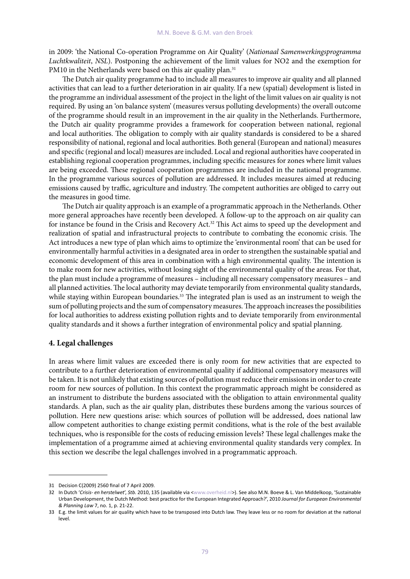in 2009: 'the National Co-operation Programme on Air Quality' (*Nationaal Samenwerkingsprogramma Luchtkwaliteit*, *NSL*). Postponing the achievement of the limit values for NO2 and the exemption for PM10 in the Netherlands were based on this air quality plan.<sup>31</sup>

The Dutch air quality programme had to include all measures to improve air quality and all planned activities that can lead to a further deterioration in air quality. If a new (spatial) development is listed in the programme an individual assessment of the project in the light of the limit values on air quality is not required. By using an 'on balance system' (measures versus polluting developments) the overall outcome of the programme should result in an improvement in the air quality in the Netherlands. Furthermore, the Dutch air quality programme provides a framework for cooperation between national, regional and local authorities. The obligation to comply with air quality standards is considered to be a shared responsibility of national, regional and local authorities. Both general (European and national) measures and specific (regional and local) measures are included. Local and regional authorities have cooperated in establishing regional cooperation programmes, including specific measures for zones where limit values are being exceeded. These regional cooperation programmes are included in the national programme. In the programme various sources of pollution are addressed. It includes measures aimed at reducing emissions caused by traffic, agriculture and industry. The competent authorities are obliged to carry out the measures in good time.

The Dutch air quality approach is an example of a programmatic approach in the Netherlands. Other more general approaches have recently been developed. A follow-up to the approach on air quality can for instance be found in the Crisis and Recovery Act.32 This Act aims to speed up the development and realization of spatial and infrastructural projects to contribute to combating the economic crisis. The Act introduces a new type of plan which aims to optimize the 'environmental room' that can be used for environmentally harmful activities in a designated area in order to strengthen the sustainable spatial and economic development of this area in combination with a high environmental quality. The intention is to make room for new activities, without losing sight of the environmental quality of the areas. For that, the plan must include a programme of measures – including all necessary compensatory measures – and all planned activities. The local authority may deviate temporarily from environmental quality standards, while staying within European boundaries.<sup>33</sup> The integrated plan is used as an instrument to weigh the sum of polluting projects and the sum of compensatory measures. The approach increases the possibilities for local authorities to address existing pollution rights and to deviate temporarily from environmental quality standards and it shows a further integration of environmental policy and spatial planning.

#### **4. Legal challenges**

In areas where limit values are exceeded there is only room for new activities that are expected to contribute to a further deterioration of environmental quality if additional compensatory measures will be taken. It is not unlikely that existing sources of pollution must reduce their emissions in order to create room for new sources of pollution. In this context the programmatic approach might be considered as an instrument to distribute the burdens associated with the obligation to attain environmental quality standards. A plan, such as the air quality plan, distributes these burdens among the various sources of pollution. Here new questions arise: which sources of pollution will be addressed, does national law allow competent authorities to change existing permit conditions, what is the role of the best available techniques, who is responsible for the costs of reducing emission levels? These legal challenges make the implementation of a programme aimed at achieving environmental quality standards very complex. In this section we describe the legal challenges involved in a programmatic approach.

<sup>31</sup> Decision C(2009) 2560 final of 7 April 2009.

<sup>32</sup> In Dutch 'Crisis- en herstelwet', Stb. 2010, 135 (available via <www.overheid.nl>). See also M.N. Boeve & L. Van Middelkoop, 'Sustainable Urban Development, the Dutch Method: best practice for the European Integrated Approach?', 2010 *Journal for European Environmental & Planning Law* 7, no. 1, p. 21-22.

<sup>33</sup> E.g. the limit values for air quality which have to be transposed into Dutch law. They leave less or no room for deviation at the national level.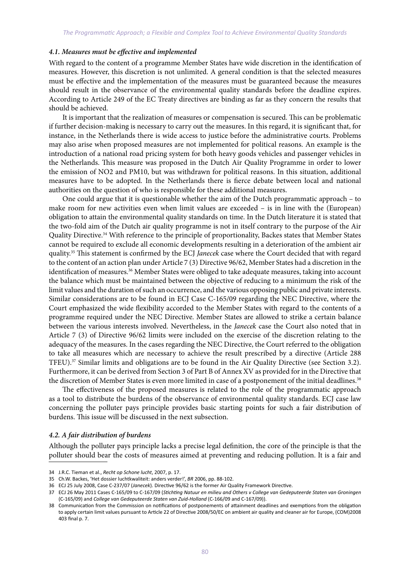#### *4.1. Measures must be effective and implemented*

With regard to the content of a programme Member States have wide discretion in the identification of measures. However, this discretion is not unlimited. A general condition is that the selected measures must be effective and the implementation of the measures must be guaranteed because the measures should result in the observance of the environmental quality standards before the deadline expires. According to Article 249 of the EC Treaty directives are binding as far as they concern the results that should be achieved.

It is important that the realization of measures or compensation is secured. This can be problematic if further decision-making is necessary to carry out the measures. In this regard, it is significant that, for instance, in the Netherlands there is wide access to justice before the administrative courts. Problems may also arise when proposed measures are not implemented for political reasons. An example is the introduction of a national road pricing system for both heavy goods vehicles and passenger vehicles in the Netherlands. This measure was proposed in the Dutch Air Quality Programme in order to lower the emission of NO2 and PM10, but was withdrawn for political reasons. In this situation, additional measures have to be adopted. In the Netherlands there is fierce debate between local and national authorities on the question of who is responsible for these additional measures.

One could argue that it is questionable whether the aim of the Dutch programmatic approach – to make room for new activities even when limit values are exceeded – is in line with the (European) obligation to attain the environmental quality standards on time. In the Dutch literature it is stated that the two-fold aim of the Dutch air quality programme is not in itself contrary to the purpose of the Air Quality Directive.34 With reference to the principle of proportionality, Backes states that Member States cannot be required to exclude all economic developments resulting in a deterioration of the ambient air quality.35 This statement is confirmed by the ECJ *Janecek* case where the Court decided that with regard to the content of an action plan under Article 7 (3) Directive 96/62, Member States had a discretion in the identification of measures.<sup>36</sup> Member States were obliged to take adequate measures, taking into account the balance which must be maintained between the objective of reducing to a minimum the risk of the limit values and the duration of such an occurrence, and the various opposing public and private interests. Similar considerations are to be found in ECJ Case C-165/09 regarding the NEC Directive, where the Court emphasized the wide flexibility accorded to the Member States with regard to the contents of a programme required under the NEC Directive. Member States are allowed to strike a certain balance between the various interests involved. Nevertheless, in the *Janecek* case the Court also noted that in Article 7 (3) of Directive 96/62 limits were included on the exercise of the discretion relating to the adequacy of the measures. In the cases regarding the NEC Directive, the Court referred to the obligation to take all measures which are necessary to achieve the result prescribed by a directive (Article 288 TFEU).37 Similar limits and obligations are to be found in the Air Quality Directive (see Section 3.2). Furthermore, it can be derived from Section 3 of Part B of Annex XV as provided for in the Directive that the discretion of Member States is even more limited in case of a postponement of the initial deadlines.<sup>38</sup>

The effectiveness of the proposed measures is related to the role of the programmatic approach as a tool to distribute the burdens of the observance of environmental quality standards. ECJ case law concerning the polluter pays principle provides basic starting points for such a fair distribution of burdens. This issue will be discussed in the next subsection.

#### *4.2. A fair distribution of burdens*

Although the polluter pays principle lacks a precise legal definition, the core of the principle is that the polluter should bear the costs of measures aimed at preventing and reducing pollution. It is a fair and

<sup>34</sup> J.R.C. Tieman et al., *Recht op Schone lucht*, 2007, p. 17.

<sup>35</sup> Ch.W. Backes, 'Het dossier luchtkwaliteit: anders verder!', *BR* 2006, pp. 88-102.

<sup>36</sup> ECJ 25 July 2008, Case C-237/07 (*Janecek*). Directive 96/62 is the former Air Quality Framework Directive.

<sup>37</sup> ECJ 26 May 2011 Cases C-165/09 to C-167/09 (*Stichting Natuur en milieu and Others v College van Gedeputeerde Staten van Groningen* (C-165/09) and *College van Gedeputeerde Staten van Zuid-Holland* (C-166/09 and C-167/09)).

<sup>38</sup> Communication from the Commission on notifications of postponements of attainment deadlines and exemptions from the obligation to apply certain limit values pursuant to Article 22 of Directive 2008/50/EC on ambient air quality and cleaner air for Europe, (COM)2008 403 final p. 7.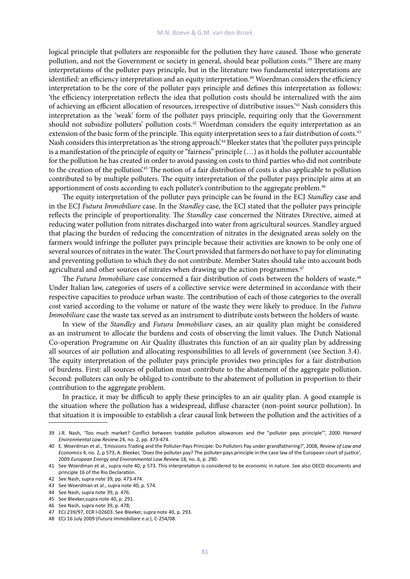logical principle that polluters are responsible for the pollution they have caused. Those who generate pollution, and not the Government or society in general, should bear pollution costs.<sup>39</sup> There are many interpretations of the polluter pays principle, but in the literature two fundamental interpretations are identified: an efficiency interpretation and an equity interpretation.<sup>40</sup> Woerdman considers the efficiency interpretation to be the core of the polluter pays principle and defines this interpretation as follows: 'the efficiency interpretation reflects the idea that pollution costs should be internalized with the aim of achieving an efficient allocation of resources, irrespective of distributive issues.'41 Nash considers this interpretation as the 'weak' form of the polluter pays principle, requiring only that the Government should not subsidize polluters' pollution costs.<sup>42</sup> Woerdman considers the equity interpretation as an extension of the basic form of the principle. This equity interpretation sees to a fair distribution of costs.<sup>43</sup> Nash considers this interpretation as 'the strong approach'.44 Bleeker states that 'the polluter pays principle is a manifestation of the principle of equity or "fairness" principle (…) as it holds the polluter accountable for the pollution he has created in order to avoid passing on costs to third parties who did not contribute to the creation of the pollution'.45 The notion of a fair distribution of costs is also applicable to pollution contributed to by multiple polluters. The equity interpretation of the polluter pays principle aims at an apportionment of costs according to each polluter's contribution to the aggregate problem.<sup>46</sup>

The equity interpretation of the polluter pays principle can be found in the ECJ *Standley* case and in the ECJ *Futura Immobiliare* case. In the *Standley* case, the ECJ stated that the polluter pays principle reflects the principle of proportionality. The *Standley* case concerned the Nitrates Directive, aimed at reducing water pollution from nitrates discharged into water from agricultural sources. Standley argued that placing the burden of reducing the concentration of nitrates in the designated areas solely on the farmers would infringe the polluter pays principle because their activities are known to be only one of several sources of nitrates in the water. The Court provided that farmers do not have to pay for eliminating and preventing pollution to which they do not contribute. Member States should take into account both agricultural and other sources of nitrates when drawing up the action programmes.<sup>47</sup>

The *Futura Immobiliare* case concerned a fair distribution of costs between the holders of waste.<sup>48</sup> Under Italian law, categories of users of a collective service were determined in accordance with their respective capacities to produce urban waste. The contribution of each of those categories to the overall cost varied according to the volume or nature of the waste they were likely to produce. In the *Futura Immobiliare* case the waste tax served as an instrument to distribute costs between the holders of waste.

In view of the *Standley* and *Futura Immobiliare* cases, an air quality plan might be considered as an instrument to allocate the burdens and costs of observing the limit values. The Dutch National Co-operation Programme on Air Quality illustrates this function of an air quality plan by addressing all sources of air pollution and allocating responsibilities to all levels of government (see Section 3.4). The equity interpretation of the polluter pays principle provides two principles for a fair distribution of burdens. First: all sources of pollution must contribute to the abatement of the aggregate pollution. Second: polluters can only be obliged to contribute to the abatement of pollution in proportion to their contribution to the aggregate problem.

In practice, it may be difficult to apply these principles to an air quality plan. A good example is the situation where the pollution has a widespread, diffuse character (non-point source pollution). In that situation it is impossible to establish a clear causal link between the pollution and the activities of a

<sup>39</sup> J.R. Nash, 'Too much market? Conflict between tradable pollution allowances and the "polluter pays principle"', 2000 *Harvard Environmental Law Review* 24, no. 2, pp. 473-474.

<sup>40</sup> E. Woerdman et al., 'Emissions Trading and the Polluter-Pays Principle: Do Polluters Pay under grandfathering?', 2008, *Review of Law and Economics* 4, no. 2, p 573; A. Bleeker, 'Does the polluter pay? The polluter-pays principle in the case law of the European court of justice', 2009 *European Energy and Environmental Law Review* 18, no. 6, p. 290.

<sup>41</sup> See Woerdman et al., supra note 40, p 573. This interpretation is considered to be economic in nature. See also OECD documents and principle 16 of the Rio Declaration.

<sup>42</sup> See Nash, supra note 39*,* pp. 473-474.

<sup>43</sup> See Woerdman et al., supra note 40, p. 574.

<sup>44</sup> See Nash, supra note 39, p. 476.

<sup>45</sup> See Bleeker,supra note 40, p. 291.

<sup>46</sup> See Nash, supra note 39, p. 478;

<sup>47</sup> ECJ 239/97, ECR I-02603. See Bleeker, supra note 40, p. 293.

<sup>48</sup> ECJ 16 July 2009 (*Futura Immobiliare e.a.*), C-254/08.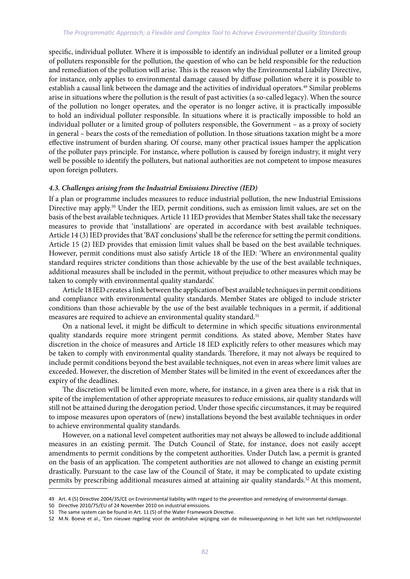#### *The Programmatic Approach; a Flexible and Complex Tool to Achieve Environmental Quality Standards*

specific, individual polluter. Where it is impossible to identify an individual polluter or a limited group of polluters responsible for the pollution, the question of who can be held responsible for the reduction and remediation of the pollution will arise. This is the reason why the Environmental Liability Directive, for instance, only applies to environmental damage caused by diffuse pollution where it is possible to establish a causal link between the damage and the activities of individual operators.49 Similar problems arise in situations where the pollution is the result of past activities (a so-called legacy). When the source of the pollution no longer operates, and the operator is no longer active, it is practically impossible to hold an individual polluter responsible. In situations where it is practically impossible to hold an individual polluter or a limited group of polluters responsible, the Government – as a proxy of society in general – bears the costs of the remediation of pollution. In those situations taxation might be a more effective instrument of burden sharing. Of course, many other practical issues hamper the application of the polluter pays principle. For instance, where pollution is caused by foreign industry, it might very well be possible to identify the polluters, but national authorities are not competent to impose measures upon foreign polluters.

#### *4.3. Challenges arising from the Industrial Emissions Directive (IED)*

If a plan or programme includes measures to reduce industrial pollution, the new Industrial Emissions Directive may apply.<sup>50</sup> Under the IED, permit conditions, such as emission limit values, are set on the basis of the best available techniques*.* Article 11 IED provides that Member States shall take the necessary measures to provide that 'installations' are operated in accordance with best available techniques. Article 14 (3) IED provides that 'BAT conclusions' shall be the reference for setting the permit conditions. Article 15 (2) IED provides that emission limit values shall be based on the best available techniques. However, permit conditions must also satisfy Article 18 of the IED: 'Where an environmental quality standard requires stricter conditions than those achievable by the use of the best available techniques, additional measures shall be included in the permit, without prejudice to other measures which may be taken to comply with environmental quality standards'.

Article 18 IED creates a link between the application of best available techniques in permit conditions and compliance with environmental quality standards. Member States are obliged to include stricter conditions than those achievable by the use of the best available techniques in a permit, if additional measures are required to achieve an environmental quality standard.<sup>51</sup>

On a national level, it might be difficult to determine in which specific situations environmental quality standards require more stringent permit conditions. As stated above, Member States have discretion in the choice of measures and Article 18 IED explicitly refers to other measures which may be taken to comply with environmental quality standards. Therefore, it may not always be required to include permit conditions beyond the best available techniques, not even in areas where limit values are exceeded. However, the discretion of Member States will be limited in the event of exceedances after the expiry of the deadlines.

The discretion will be limited even more, where, for instance, in a given area there is a risk that in spite of the implementation of other appropriate measures to reduce emissions, air quality standards will still not be attained during the derogation period. Under those specific circumstances, it may be required to impose measures upon operators of (new) installations beyond the best available techniques in order to achieve environmental quality standards.

However, on a national level competent authorities may not always be allowed to include additional measures in an existing permit. The Dutch Council of State, for instance, does not easily accept amendments to permit conditions by the competent authorities. Under Dutch law, a permit is granted on the basis of an application. The competent authorities are not allowed to change an existing permit drastically. Pursuant to the case law of the Council of State, it may be complicated to update existing permits by prescribing additional measures aimed at attaining air quality standards.<sup>52</sup> At this moment,

<sup>49</sup> Art. 4 (5) Directive 2004/35/CE on Environmental liability with regard to the prevention and remedying of environmental damage.

<sup>50</sup> Directive 2010/75/EU of 24 November 2010 on industrial emissions.

<sup>51</sup> The same system can be found in Art. 11 (5) of the Water Framework Directive.

<sup>52</sup> M.N. Boeve et al., 'Een nieuwe regeling voor de ambtshalve wijziging van de milieuvergunning in het licht van het richtlijnvoorstel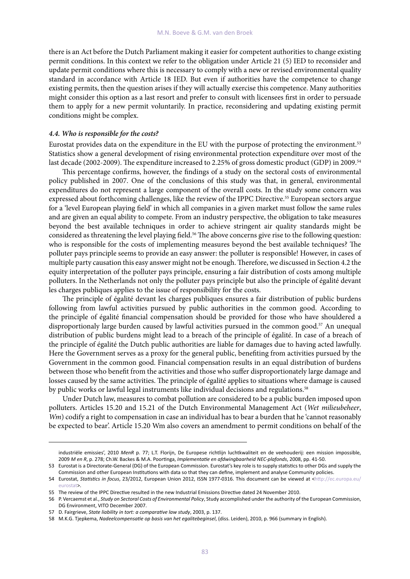there is an Act before the Dutch Parliament making it easier for competent authorities to change existing permit conditions. In this context we refer to the obligation under Article 21 (5) IED to reconsider and update permit conditions where this is necessary to comply with a new or revised environmental quality standard in accordance with Article 18 IED. But even if authorities have the competence to change existing permits, then the question arises if they will actually exercise this competence. Many authorities might consider this option as a last resort and prefer to consult with licensees first in order to persuade them to apply for a new permit voluntarily. In practice, reconsidering and updating existing permit conditions might be complex.

#### *4.4. Who is responsible for the costs?*

Eurostat provides data on the expenditure in the EU with the purpose of protecting the environment.<sup>53</sup> Statistics show a general development of rising environmental protection expenditure over most of the last decade (2002-2009). The expenditure increased to 2.25% of gross domestic product (GDP) in 2009.<sup>54</sup>

This percentage confirms, however, the findings of a study on the sectoral costs of environmental policy published in 2007. One of the conclusions of this study was that, in general, environmental expenditures do not represent a large component of the overall costs. In the study some concern was expressed about forthcoming challenges, like the review of the IPPC Directive.<sup>55</sup> European sectors argue for a 'level European playing field' in which all companies in a given market must follow the same rules and are given an equal ability to compete. From an industry perspective, the obligation to take measures beyond the best available techniques in order to achieve stringent air quality standards might be considered as threatening the level playing field.<sup>56</sup> The above concerns give rise to the following question: who is responsible for the costs of implementing measures beyond the best available techniques? The polluter pays principle seems to provide an easy answer: the polluter is responsible! However, in cases of multiple party causation this easy answer might not be enough. Therefore, we discussed in Section 4.2 the equity interpretation of the polluter pays principle, ensuring a fair distribution of costs among multiple polluters. In the Netherlands not only the polluter pays principle but also the principle of égalité devant les charges publiques applies to the issue of responsibility for the costs.

The principle of égalité devant les charges publiques ensures a fair distribution of public burdens following from lawful activities pursued by public authorities in the common good. According to the principle of égalité financial compensation should be provided for those who have shouldered a disproportionaly large burden caused by lawful activities pursued in the common good.<sup>57</sup> An unequal distribution of public burdens might lead to a breach of the principle of égalité. In case of a breach of the principle of égalité the Dutch public authorities are liable for damages due to having acted lawfully. Here the Government serves as a proxy for the general public, benefiting from activities pursued by the Government in the common good. Financial compensation results in an equal distribution of burdens between those who benefit from the activities and those who suffer disproportionately large damage and losses caused by the same activities. The principle of égalité applies to situations where damage is caused by public works or lawful legal instruments like individual decisions and regulations.<sup>58</sup>

Under Dutch law, measures to combat pollution are considered to be a public burden imposed upon polluters. Articles 15.20 and 15.21 of the Dutch Environmental Management Act (*Wet milieubeheer*, *Wm*) codify a right to compensation in case an individual has to bear a burden that he 'cannot reasonably be expected to bear'. Article 15.20 Wm also covers an amendment to permit conditions on behalf of the

industriële emissies', 2010 *MenR* p. 77; L.T. Florijn, De Europese richtlijn luchtkwaliteit en de veehouderij: een mission impossible, 2009 *M en R*, p. 278; Ch.W. Backes & M.A. Poortinga, *Implementatie en afdwingbaarheid NEC-plafonds*, 2008, pp. 41-50.

<sup>53</sup> Eurostat is a Directorate-General (DG) of the European Commission. Eurostat's key role is to supply statistics to other DGs and supply the Commission and other European Institutions with data so that they can define, implement and analyse Community policies.

<sup>54</sup> Eurostat, *Statistics in focus*, 23/2012, European Union 2012, ISSN 1977-0316. This document can be viewed at <http://ec.europa.eu/ eurostat>.

<sup>55</sup> The review of the IPPC Directive resulted in the new Industrial Emissions Directive dated 24 November 2010.

<sup>56</sup> P. Vercaemst et al., *Study on Sectoral Costs of Environmental Policy*, Study accomplished under the authority of the European Commission, DG Environment, VITO December 2007.

<sup>57</sup> D. Fairgrieve, *State liability in tort: a comparative law study*, 2003, p. 137.

<sup>58</sup> M.K.G. Tjepkema, *Nadeelcompensatie op basis van het egalitebeginsel*, (diss. Leiden), 2010, p. 966 (summary in English).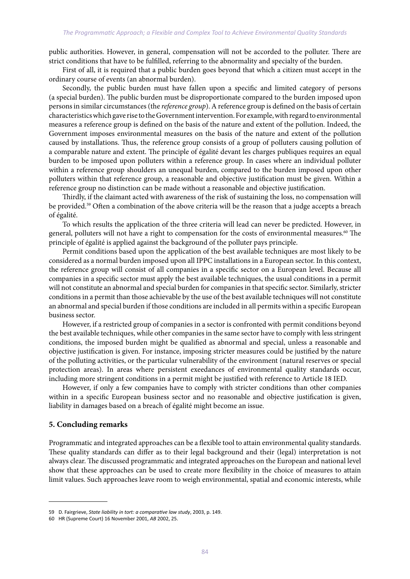public authorities. However, in general, compensation will not be accorded to the polluter. There are strict conditions that have to be fulfilled, referring to the abnormality and specialty of the burden.

First of all, it is required that a public burden goes beyond that which a citizen must accept in the ordinary course of events (an abnormal burden).

Secondly, the public burden must have fallen upon a specific and limited category of persons (a special burden). The public burden must be disproportionate compared to the burden imposed upon persons in similar circumstances (the *reference group*). A reference group is defined on the basis of certain characteristics which gave rise to the Government intervention. For example, with regard to environmental measures a reference group is defined on the basis of the nature and extent of the pollution. Indeed, the Government imposes environmental measures on the basis of the nature and extent of the pollution caused by installations. Thus, the reference group consists of a group of polluters causing pollution of a comparable nature and extent. The principle of égalité devant les charges publiques requires an equal burden to be imposed upon polluters within a reference group. In cases where an individual polluter within a reference group shoulders an unequal burden, compared to the burden imposed upon other polluters within that reference group, a reasonable and objective justification must be given. Within a reference group no distinction can be made without a reasonable and objective justification.

Thirdly, if the claimant acted with awareness of the risk of sustaining the loss, no compensation will be provided.59 Often a combination of the above criteria will be the reason that a judge accepts a breach of égalité.

To which results the application of the three criteria will lead can never be predicted. However, in general, polluters will not have a right to compensation for the costs of environmental measures.<sup>60</sup> The principle of égalité is applied against the background of the polluter pays principle.

Permit conditions based upon the application of the best available techniques are most likely to be considered as a normal burden imposed upon all IPPC installations in a European sector. In this context, the reference group will consist of all companies in a specific sector on a European level. Because all companies in a specific sector must apply the best available techniques, the usual conditions in a permit will not constitute an abnormal and special burden for companies in that specific sector. Similarly, stricter conditions in a permit than those achievable by the use of the best available techniques will not constitute an abnormal and special burden if those conditions are included in all permits within a specific European business sector.

However, if a restricted group of companies in a sector is confronted with permit conditions beyond the best available techniques, while other companies in the same sector have to comply with less stringent conditions, the imposed burden might be qualified as abnormal and special, unless a reasonable and objective justification is given. For instance, imposing stricter measures could be justified by the nature of the polluting activities, or the particular vulnerability of the environment (natural reserves or special protection areas). In areas where persistent exeedances of environmental quality standards occur, including more stringent conditions in a permit might be justified with reference to Article 18 IED.

However, if only a few companies have to comply with stricter conditions than other companies within in a specific European business sector and no reasonable and objective justification is given, liability in damages based on a breach of égalité might become an issue.

## **5. Concluding remarks**

Programmatic and integrated approaches can be a flexible tool to attain environmental quality standards. These quality standards can differ as to their legal background and their (legal) interpretation is not always clear. The discussed programmatic and integrated approaches on the European and national level show that these approaches can be used to create more flexibility in the choice of measures to attain limit values. Such approaches leave room to weigh environmental, spatial and economic interests, while

<sup>59</sup> D. Fairgrieve, *State liability in tort: a comparative law study*, 2003, p. 149.

<sup>60</sup> HR (Supreme Court) 16 November 2001, *AB* 2002, 25.